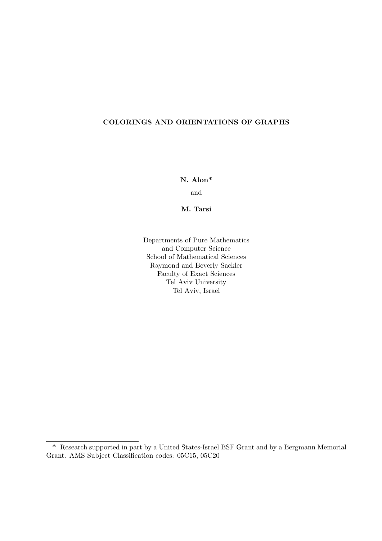# COLORINGS AND ORIENTATIONS OF GRAPHS

N. Alon\*

and

M. Tarsi

Departments of Pure Mathematics and Computer Science School of Mathematical Sciences Raymond and Beverly Sackler Faculty of Exact Sciences Tel Aviv University Tel Aviv, Israel

<sup>\*</sup> Research supported in part by a United States-Israel BSF Grant and by a Bergmann Memorial Grant. AMS Subject Classification codes: 05C15, 05C20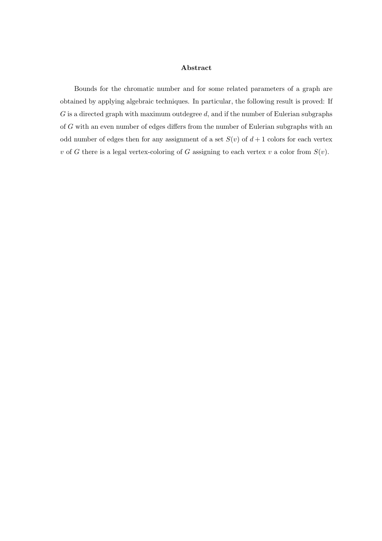# Abstract

Bounds for the chromatic number and for some related parameters of a graph are obtained by applying algebraic techniques. In particular, the following result is proved: If  $G$  is a directed graph with maximum outdegree  $d$ , and if the number of Eulerian subgraphs of G with an even number of edges differs from the number of Eulerian subgraphs with an odd number of edges then for any assignment of a set  $S(v)$  of  $d+1$  colors for each vertex v of G there is a legal vertex-coloring of G assigning to each vertex v a color from  $S(v)$ .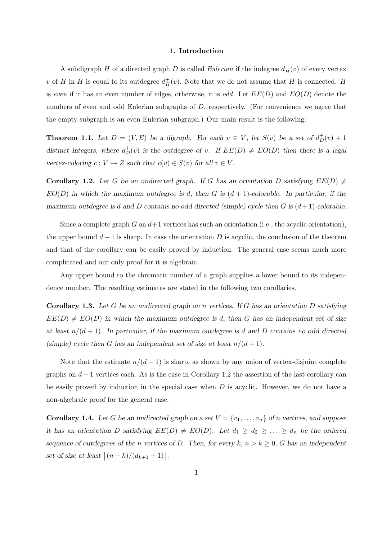### 1. Introduction

A subdigraph H of a directed graph D is called Eulerian if the indegree  $d_H^-(v)$  of every vertex v of H in H is equal to its outdegree  $d^+_H(v)$ . Note that we do not assume that H is connected. H is even if it has an even number of edges, otherwise, it is odd. Let  $EE(D)$  and  $EO(D)$  denote the numbers of even and odd Eulerian subgraphs of D, respectively. (For convenience we agree that the empty subgraph is an even Eulerian subgraph.) Our main result is the following:

**Theorem 1.1.** Let  $D = (V, E)$  be a digraph. For each  $v \in V$ , let  $S(v)$  be a set of  $d_D^+(v) + 1$ distinct integers, where  $d_{D}^{+}(v)$  is the outdegree of v. If  $EE(D) \neq EO(D)$  then there is a legal vertex-coloring  $c: V \to Z$  such that  $c(v) \in S(v)$  for all  $v \in V$ .

**Corollary 1.2.** Let G be an undirected graph. If G has an orientation D satisfying  $EE(D) \neq$  $EO(D)$  in which the maximum outdegree is d, then G is  $(d+1)$ -colorable. In particular, if the maximum outdegree is d and D contains no odd directed (simple) cycle then G is  $(d+1)$ -colorable.

Since a complete graph G on  $d+1$  vertices has such an orientation (i.e., the acyclic orientation), the upper bound  $d+1$  is sharp. In case the orientation D is acyclic, the conclusion of the theorem and that of the corollary can be easily proved by induction. The general case seems much more complicated and our only proof for it is algebraic.

Any upper bound to the chromatic number of a graph supplies a lower bound to its independence number. The resulting estimates are stated in the following two corollaries.

**Corollary 1.3.** Let G be an undirected graph on n vertices. If G has an orientation D satisfying  $EE(D) \neq EO(D)$  in which the maximum outdegree is d, then G has an independent set of size at least  $n/(d+1)$ . In particular, if the maximum outdegree is d and D contains no odd directed (simple) cycle then G has an independent set of size at least  $n/(d+1)$ .

Note that the estimate  $n/(d+1)$  is sharp, as shown by any union of vertex-disjoint complete graphs on  $d+1$  vertices each. As is the case in Corollary 1.2 the assertion of the last corollary can be easily proved by induction in the special case when  $D$  is acyclic. However, we do not have a non-algebraic proof for the general case.

**Corollary 1.4.** Let G be an undirected graph on a set  $V = \{v_1, \ldots, v_n\}$  of n vertices, and suppose it has an orientation D satisfying  $EE(D) \neq EO(D)$ . Let  $d_1 \geq d_2 \geq ... \geq d_n$  be the ordered sequence of outdegrees of the n vertices of D. Then, for every  $k, n > k \geq 0$ , G has an independent set of size at least  $\lceil (n-k)/(d_{k+1}+1) \rceil$ .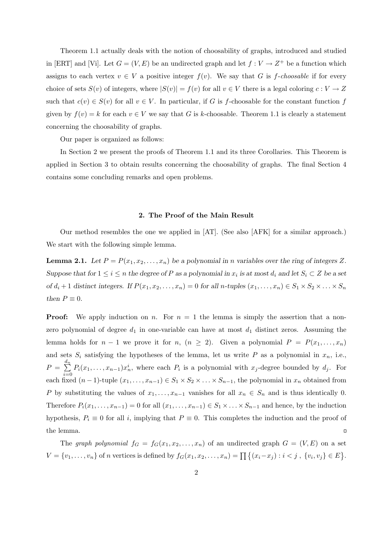Theorem 1.1 actually deals with the notion of choosability of graphs, introduced and studied in [ERT] and [Vi]. Let  $G = (V, E)$  be an undirected graph and let  $f: V \to Z^+$  be a function which assigns to each vertex  $v \in V$  a positive integer  $f(v)$ . We say that G is f-choosable if for every choice of sets  $S(v)$  of integers, where  $|S(v)| = f(v)$  for all  $v \in V$  there is a legal coloring  $c: V \to Z$ such that  $c(v) \in S(v)$  for all  $v \in V$ . In particular, if G is f-choosable for the constant function f given by  $f(v) = k$  for each  $v \in V$  we say that G is k-choosable. Theorem 1.1 is clearly a statement concerning the choosability of graphs.

Our paper is organized as follows:

In Section 2 we present the proofs of Theorem 1.1 and its three Corollaries. This Theorem is applied in Section 3 to obtain results concerning the choosability of graphs. The final Section 4 contains some concluding remarks and open problems.

### 2. The Proof of the Main Result

Our method resembles the one we applied in [AT]. (See also [AFK] for a similar approach.) We start with the following simple lemma.

**Lemma 2.1.** Let  $P = P(x_1, x_2, \ldots, x_n)$  be a polynomial in n variables over the ring of integers Z. Suppose that for  $1 \leq i \leq n$  the degree of P as a polynomial in  $x_i$  is at most  $d_i$  and let  $S_i \subset Z$  be a set of  $d_i + 1$  distinct integers. If  $P(x_1, x_2, \ldots, x_n) = 0$  for all n-tuples  $(x_1, \ldots, x_n) \in S_1 \times S_2 \times \ldots \times S_n$ then  $P \equiv 0$ .

**Proof:** We apply induction on n. For  $n = 1$  the lemma is simply the assertion that a nonzero polynomial of degree  $d_1$  in one-variable can have at most  $d_1$  distinct zeros. Assuming the lemma holds for  $n-1$  we prove it for  $n, (n \geq 2)$ . Given a polynomial  $P = P(x_1, \ldots, x_n)$ and sets  $S_i$  satisfying the hypotheses of the lemma, let us write P as a polynomial in  $x_n$ , i.e.,  $d_n$  $\sum_{i=0}^{n} P_i(x_1, \ldots, x_{n-1}) x_n^i$ , where each  $P_i$  is a polynomial with  $x_j$ -degree bounded by  $d_j$ . For  $P = \sum$ each fixed  $(n-1)$ -tuple  $(x_1, ..., x_{n-1}) \in S_1 \times S_2 \times ... \times S_{n-1}$ , the polynomial in  $x_n$  obtained from P by substituting the values of  $x_1, \ldots, x_{n-1}$  vanishes for all  $x_n \in S_n$  and is thus identically 0. Therefore  $P_i(x_1, \ldots, x_{n-1}) = 0$  for all  $(x_1, \ldots, x_{n-1}) \in S_1 \times \ldots \times S_{n-1}$  and hence, by the induction hypothesis,  $P_i \equiv 0$  for all i, implying that  $P \equiv 0$ . This completes the induction and the proof of the lemma.  $\blacksquare$ 

The graph polynomial  $f_G = f_G(x_1, x_2, \ldots, x_n)$  of an undirected graph  $G = (V, E)$  on a set  $V = \{v_1, \ldots, v_n\}$  of n vertices is defined by  $f_G(x_1, x_2, \ldots, x_n) = \prod \{(x_i - x_j) : i < j, \{v_i, v_j\} \in E\}.$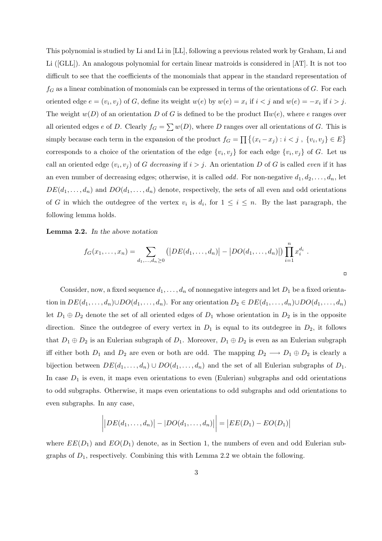This polynomial is studied by Li and Li in [LL], following a previous related work by Graham, Li and Li ([GLL]). An analogous polynomial for certain linear matroids is considered in [AT]. It is not too difficult to see that the coefficients of the monomials that appear in the standard representation of  $f_G$  as a linear combination of monomials can be expressed in terms of the orientations of G. For each oriented edge  $e = (v_i, v_j)$  of G, define its weight  $w(e)$  by  $w(e) = x_i$  if  $i < j$  and  $w(e) = -x_i$  if  $i > j$ . The weight  $w(D)$  of an orientation D of G is defined to be the product  $\Pi w(e)$ , where e ranges over all oriented edges e of D. Clearly  $f_G = \sum w(D)$ , where D ranges over all orientations of G. This is simply because each term in the expansion of the product  $f_G = \prod_{i} \{(x_i - x_j) : i < j, \{v_i, v_j\} \in E\}$ corresponds to a choice of the orientation of the edge  $\{v_i, v_j\}$  for each edge  $\{v_i, v_j\}$  of G. Let us call an oriented edge  $(v_i, v_j)$  of G decreasing if  $i > j$ . An orientation D of G is called even if it has an even number of decreasing edges; otherwise, it is called *odd*. For non-negative  $d_1, d_2, \ldots, d_n$ , let  $DE(d_1, \ldots, d_n)$  and  $DO(d_1, \ldots, d_n)$  denote, respectively, the sets of all even and odd orientations of G in which the outdegree of the vertex  $v_i$  is  $d_i$ , for  $1 \leq i \leq n$ . By the last paragraph, the following lemma holds.

### Lemma 2.2. In the above notation

$$
f_G(x_1,\ldots,x_n) = \sum_{d_1,\ldots,d_n \geq 0} (|DE(d_1,\ldots,d_n)| - |DO(d_1,\ldots,d_n)|) \prod_{i=1}^n x_i^{d_i}.
$$

 $\blacksquare$ 

Consider, now, a fixed sequence  $d_1, \ldots, d_n$  of nonnegative integers and let  $D_1$  be a fixed orientation in  $DE(d_1, \ldots, d_n) \cup DO(d_1, \ldots, d_n)$ . For any orientation  $D_2 \in DE(d_1, \ldots, d_n) \cup DO(d_1, \ldots, d_n)$ let  $D_1 \oplus D_2$  denote the set of all oriented edges of  $D_1$  whose orientation in  $D_2$  is in the opposite direction. Since the outdegree of every vertex in  $D_1$  is equal to its outdegree in  $D_2$ , it follows that  $D_1 \oplus D_2$  is an Eulerian subgraph of  $D_1$ . Moreover,  $D_1 \oplus D_2$  is even as an Eulerian subgraph iff either both  $D_1$  and  $D_2$  are even or both are odd. The mapping  $D_2 \longrightarrow D_1 \oplus D_2$  is clearly a bijection between  $DE(d_1, \ldots, d_n) \cup DO(d_1, \ldots, d_n)$  and the set of all Eulerian subgraphs of  $D_1$ . In case  $D_1$  is even, it maps even orientations to even (Eulerian) subgraphs and odd orientations to odd subgraphs. Otherwise, it maps even orientations to odd subgraphs and odd orientations to even subgraphs. In any case,

$$
\left| \left| DE(d_1, \ldots, d_n) \right| - \left| DO(d_1, \ldots, d_n) \right| \right| = \left| EE(D_1) - EO(D_1) \right|
$$

where  $EE(D_1)$  and  $EO(D_1)$  denote, as in Section 1, the numbers of even and odd Eulerian subgraphs of  $D_1$ , respectively. Combining this with Lemma 2.2 we obtain the following.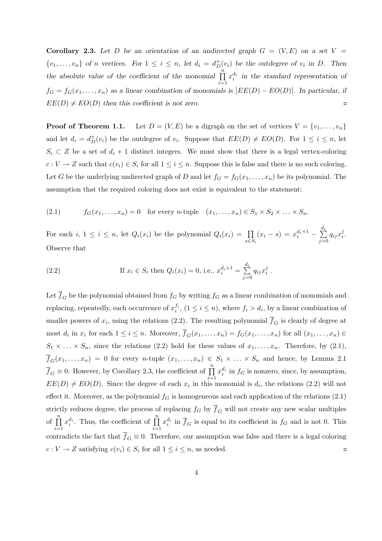Corollary 2.3. Let D be an orientation of an undirected graph  $G = (V, E)$  on a set  $V =$  $\{v_1, \ldots, v_n\}$  of n vertices. For  $1 \leq i \leq n$ , let  $d_i = d_D^+(v_i)$  be the outdegree of  $v_i$  in D. Then the absolute value of the coefficient of the monomial  $\prod_{i=1}^{n}$  $x_i^{d_i}$  in the standard representation of  $i=1$  $f_G = f_G(x_1, \ldots, x_n)$  as a linear combination of monomials is  $|EE(D) - EO(D)|$ . In particular, if  $EE(D) \neq EO(D)$  then this coefficient is not zero.  $\blacksquare$ 

**Proof of Theorem 1.1.** Let  $D = (V, E)$  be a digraph on the set of vertices  $V = \{v_1, \ldots, v_n\}$ and let  $d_i = d_D^+(v_i)$  be the outdegree of  $v_i$ . Suppose that  $EE(D) \neq EO(D)$ . For  $1 \leq i \leq n$ , let  $S_i \subset Z$  be a set of  $d_i + 1$  distinct integers. We must show that there is a legal vertex-coloring  $c: V \to Z$  such that  $c(v_i) \in S_i$  for all  $1 \leq i \leq n$ . Suppose this is false and there is no such coloring. Let G be the underlying undirected graph of D and let  $f_G = f_G(x_1, \ldots, x_n)$  be its polynomial. The assumption that the required coloring does not exist is equivalent to the statement:

(2.1) 
$$
f_G(x_1,\ldots,x_n)=0 \text{ for every } n\text{-tuple } (x_1,\ldots,x_n)\in S_1\times S_2\times\ldots\times S_n.
$$

For each i,  $1 \leq i \leq n$ , let  $Q_i(x_i)$  be the polynomial  $Q_i(x_i) = \prod$  $s\bar{\in}S_i$  $(x_i - s) = x_i^{d_i + 1} - \sum_{i=1}^{n}$  $d_i$  $\sum_{j=0}^{\infty} q_{ij} x_i^j$  $\frac{j}{i}$  . Observe that

(2.2) If 
$$
x_i \in S_i
$$
 then  $Q_i(x_i) = 0$ , i.e.,  $x_i^{d_i+1} = \sum_{j=0}^{d_i} q_{ij} x_i^j$ .

Let  $\overline{f}_G$  be the polynomial obtained from  $f_G$  by writing  $f_G$  as a linear combination of monomials and replacing, repeatedly, each occurrence of  $x_i^{f_i}$ ,  $(1 \le i \le n)$ , where  $f_i > d_i$ , by a linear combination of smaller powers of  $x_i$ , using the relations (2.2). The resulting polynomial  $f_G$  is clearly of degree at most  $d_i$  in  $x_i$  for each  $1 \leq i \leq n$ . Moreover,  $\overline{f}_G(x_1,\ldots,x_n) = f_G(x_1,\ldots,x_n)$  for all  $(x_1,\ldots,x_n) \in$  $S_1 \times \ldots \times S_n$ , since the relations (2.2) hold for these values of  $x_1, \ldots, x_n$ . Therefore, by (2.1),  $\overline{f}_G(x_1,\ldots,x_n) = 0$  for every *n*-tuple  $(x_1,\ldots,x_n) \in S_1 \times \ldots \times S_n$  and hence, by Lemma 2.1  $\overline{f}_G \equiv 0$ . However, by Corollary 2.3, the coefficient of  $\prod_{i=1}^n$  $x_i^{d_i}$  in  $f_G$  is nonzero, since, by assumption,  $EE(D) \neq EO(D)$ . Since the degree of each  $x_i$  in this monomial is  $d_i$ , the relations (2.2) will not effect it. Moreover, as the polynomial  $f_G$  is homogeneous and each application of the relations (2.1) strictly reduces degree, the process of replacing  $f_G$  by  $\overline{f}_G$  will not create any new scalar multiples of  $\prod_{n=1}^{\infty}$  $x_i^{d_i}$ . Thus, the coefficient of  $\prod^n$  $x_i^{d_i}$  in  $\overline{f}_G$  is equal to its coefficient in  $f_G$  and is not 0. This  $i=1$  $i=1$ contradicts the fact that  $\overline{f}_G \equiv 0$ . Therefore, our assumption was false and there is a legal coloring  $c: V \to Z$  satisfying  $c(v_i) \in S_i$  for all  $1 \leq i \leq n$ , as needed.  $\Box$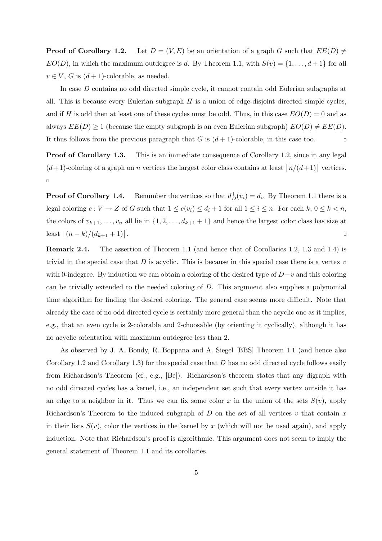**Proof of Corollary 1.2.** Let  $D = (V, E)$  be an orientation of a graph G such that  $EE(D) \neq$  $EO(D)$ , in which the maximum outdegree is d. By Theorem 1.1, with  $S(v) = \{1, \ldots, d+1\}$  for all  $v \in V$ , G is  $(d+1)$ -colorable, as needed.

In case D contains no odd directed simple cycle, it cannot contain odd Eulerian subgraphs at all. This is because every Eulerian subgraph  $H$  is a union of edge-disjoint directed simple cycles, and if H is odd then at least one of these cycles must be odd. Thus, in this case  $EO(D) = 0$  and as always  $EE(D) \ge 1$  (because the empty subgraph is an even Eulerian subgraph)  $EO(D) \neq EE(D)$ . It thus follows from the previous paragraph that G is  $(d+1)$ -colorable, in this case too.  $\blacksquare$ 

**Proof of Corollary 1.3.** This is an immediate consequence of Corollary 1.2, since in any legal  $(d+1)$ -coloring of a graph on *n* vertices the largest color class contains at least  $\lceil n/(d+1) \rceil$  vertices.  $\Box$ 

**Proof of Corollary 1.4.** Renumber the vertices so that  $d_D^+(v_i) = d_i$ . By Theorem 1.1 there is a legal coloring  $c: V \to Z$  of G such that  $1 \leq c(v_i) \leq d_i + 1$  for all  $1 \leq i \leq n$ . For each  $k, 0 \leq k < n$ , the colors of  $v_{k+1}, \ldots, v_n$  all lie in  $\{1, 2, \ldots, d_{k+1} + 1\}$  and hence the largest color class has size at least  $[(n-k)/(d_{k+1}+1)].$  $\Box$ 

Remark 2.4. The assertion of Theorem 1.1 (and hence that of Corollaries 1.2, 1.3 and 1.4) is trivial in the special case that  $D$  is acyclic. This is because in this special case there is a vertex  $v$ with 0-indegree. By induction we can obtain a coloring of the desired type of  $D-v$  and this coloring can be trivially extended to the needed coloring of D. This argument also supplies a polynomial time algorithm for finding the desired coloring. The general case seems more difficult. Note that already the case of no odd directed cycle is certainly more general than the acyclic one as it implies, e.g., that an even cycle is 2-colorable and 2-choosable (by orienting it cyclically), although it has no acyclic orientation with maximum outdegree less than 2.

As observed by J. A. Bondy, R. Boppana and A. Siegel [BBS] Theorem 1.1 (and hence also Corollary 1.2 and Corollary 1.3) for the special case that  $D$  has no odd directed cycle follows easily from Richardson's Theorem (cf., e.g., [Be]). Richardson's theorem states that any digraph with no odd directed cycles has a kernel, i.e., an independent set such that every vertex outside it has an edge to a neighbor in it. Thus we can fix some color x in the union of the sets  $S(v)$ , apply Richardson's Theorem to the induced subgraph of  $D$  on the set of all vertices  $v$  that contain  $x$ in their lists  $S(v)$ , color the vertices in the kernel by x (which will not be used again), and apply induction. Note that Richardson's proof is algorithmic. This argument does not seem to imply the general statement of Theorem 1.1 and its corollaries.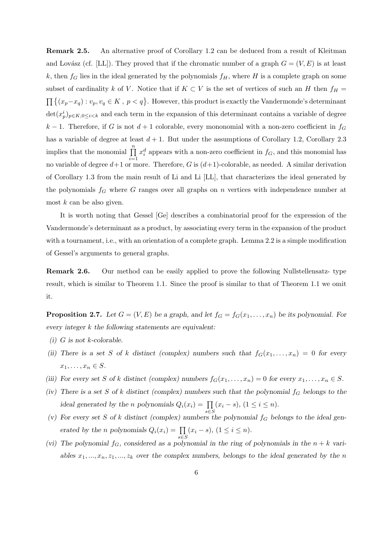Remark 2.5. An alternative proof of Corollary 1.2 can be deduced from a result of Kleitman and Lovász (cf. [LL]). They proved that if the chromatic number of a graph  $G = (V, E)$  is at least k, then  $f_G$  lies in the ideal generated by the polynomials  $f_H$ , where H is a complete graph on some subset of cardinality k of V. Notice that if  $K\subset V$  is the set of vertices of such an H then  $f_H =$  $\prod (x_p-x_q): v_p, v_q \in K$ ,  $p < q$ . However, this product is exactly the Vandermonde's determinant  $\det(x_p^i)_{p\in K, 0\leq i\leq k}$  and each term in the expansion of this determinant contains a variable of degree k − 1. Therefore, if G is not  $d+1$  colorable, every mononomial with a non-zero coefficient in  $f_G$ has a variable of degree at least  $d + 1$ . But under the assumptions of Corollary 1.2, Corollary 2.3 implies that the monomial  $\prod_{n=1}^n$  $i=1$  $x_i^d$  appears with a non-zero coefficient in  $f_G$ , and this monomial has no variable of degree  $d+1$  or more. Therefore, G is  $(d+1)$ -colorable, as needed. A similar derivation of Corollary 1.3 from the main result of Li and Li [LL], that characterizes the ideal generated by the polynomials  $f_G$  where G ranges over all graphs on n vertices with independence number at most  $k$  can be also given.

It is worth noting that Gessel [Ge] describes a combinatorial proof for the expression of the Vandermonde's determinant as a product, by associating every term in the expansion of the product with a tournament, i.e., with an orientation of a complete graph. Lemma 2.2 is a simple modification of Gessel's arguments to general graphs.

Remark 2.6. Our method can be easily applied to prove the following Nullstellensatz- type result, which is similar to Theorem 1.1. Since the proof is similar to that of Theorem 1.1 we omit it.

**Proposition 2.7.** Let  $G = (V, E)$  be a graph, and let  $f_G = f_G(x_1, \ldots, x_n)$  be its polynomial. For every integer  $k$  the following statements are equivalent:

- (i) G is not k-colorable.
- (ii) There is a set S of k distinct (complex) numbers such that  $f_G(x_1, \ldots, x_n) = 0$  for every  $x_1, \ldots, x_n \in S$ .
- (iii) For every set S of k distinct (complex) numbers  $f_G(x_1, \ldots, x_n) = 0$  for every  $x_1, \ldots, x_n \in S$ .
- (iv) There is a set S of k distinct (complex) numbers such that the polynomial  $f_G$  belongs to the ideal generated by the n polynomials  $Q_i(x_i) = \prod$  $s\bar{\in}S$  $(x_i - s), (1 \leq i \leq n).$
- (v) For every set S of k distinct (complex) numbers the polynomial  $f_G$  belongs to the ideal generated by the n polynomials  $Q_i(x_i) = \prod$  $s\bar{\in}S$  $(x_i - s), (1 \leq i \leq n).$
- (vi) The polynomial  $f_G$ , considered as a polynomial in the ring of polynomials in the  $n + k$  variables  $x_1, ..., x_n, z_1, ..., z_k$  over the complex numbers, belongs to the ideal generated by the n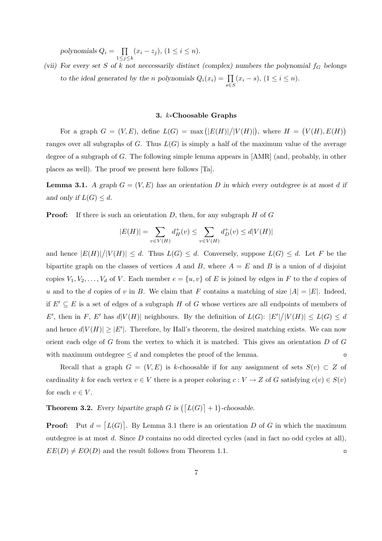polynomials  $Q_i = \prod$  $1\leq j\leq k$  $(x_i - z_j), (1 \leq i \leq n).$ 

(vii) For every set S of k not neccessarily distinct (complex) numbers the polynomial  $f_G$  belongs to the ideal generated by the n polynomials  $Q_i(x_i) = \prod$ s∈S  $(x_i - s), (1 \leq i \leq n).$ 

### 3. k-Choosable Graphs

For a graph  $G = (V, E)$ , define  $L(G) = \max(|E(H)|/|V(H)|)$ , where  $H = (V(H), E(H))$ ranges over all subgraphs of G. Thus  $L(G)$  is simply a half of the maximum value of the average degree of a subgraph of G. The following simple lemma appears in [AMR] (and, probably, in other places as well). The proof we present here follows [Ta].

**Lemma 3.1.** A graph  $G = (V, E)$  has an orientation D in which every outdegree is at most d if and only if  $L(G) \leq d$ .

**Proof:** If there is such an orientation D, then, for any subgraph  $H$  of  $G$ 

$$
|E(H)| = \sum_{v \in V(H)} d_H^+(v) \le \sum_{v \in V(H)} d_D^+(v) \le d|V(H)|
$$

and hence  $|E(H)|/|V(H)| \le d$ . Thus  $L(G) \le d$ . Conversely, suppose  $L(G) \le d$ . Let F be the bipartite graph on the classes of vertices A and B, where  $A = E$  and B is a union of d disjoint copies  $V_1, V_2, \ldots, V_d$  of V. Each member  $e = \{u, v\}$  of E is joined by edges in F to the d copies of u and to the d copies of v in B. We claim that F contains a matching of size  $|A| = |E|$ . Indeed, if  $E' \subseteq E$  is a set of edges of a subgraph H of G whose vertices are all endpoints of members of E', then in F, E' has  $d|V(H)|$  neighbours. By the definition of  $L(G)$ :  $|E'|/|V(H)| \le L(G) \le d$ and hence  $d|V(H)| \geq |E'|$ . Therefore, by Hall's theorem, the desired matching exists. We can now orient each edge of G from the vertex to which it is matched. This gives an orientation  $D$  of  $G$ with maximum outdegree  $\leq d$  and completes the proof of the lemma.  $\Box$ 

Recall that a graph  $G = (V, E)$  is k-choosable if for any assignment of sets  $S(v) \subset Z$  of cardinality k for each vertex  $v \in V$  there is a proper coloring  $c: V \to Z$  of G satisfying  $c(v) \in S(v)$ for each  $v \in V$ .

**Theorem 3.2.** Every bipartite graph G is  $\left( \left[ L(G) \right] + 1 \right)$ -choosable.

**Proof:** Put  $d = [L(G)]$ . By Lemma 3.1 there is an orientation D of G in which the maximum outdegree is at most d. Since D contains no odd directed cycles (and in fact no odd cycles at all),  $EE(D) \neq EO(D)$  and the result follows from Theorem 1.1.  $\Box$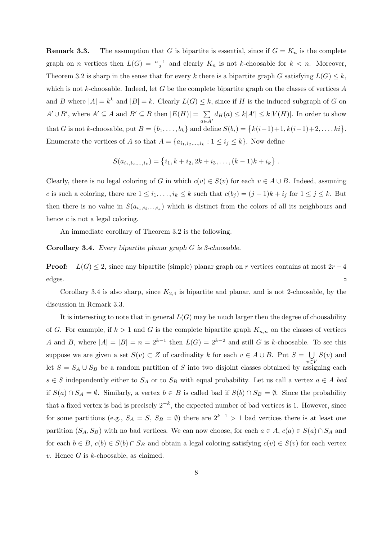**Remark 3.3.** The assumption that G is bipartite is essential, since if  $G = K_n$  is the complete graph on *n* vertices then  $L(G) = \frac{n-1}{2}$  and clearly  $K_n$  is not k-choosable for  $k < n$ . Moreover, Theorem 3.2 is sharp in the sense that for every k there is a bipartite graph G satisfying  $L(G) \leq k$ , which is not k-choosable. Indeed, let G be the complete bipartite graph on the classes of vertices  $A$ and B where  $|A| = k^k$  and  $|B| = k$ . Clearly  $L(G) \leq k$ , since if H is the induced subgraph of G on  $A' \cup B'$ , where  $A' \subseteq A$  and  $B' \subseteq B$  then  $|E(H)| = \sum$  $a\overline{\in}A'$  $d_H(a) \leq k|A'| \leq k|V(H)|$ . In order to show that G is not k-choosable, put  $B = \{b_1, \ldots, b_k\}$  and define  $S(b_i) = \{k(i-1)+1, k(i-1)+2, \ldots, ki\}.$ Enumerate the vertices of A so that  $A = \{a_{i_1,i_2,...,i_k} : 1 \le i_j \le k\}$ . Now define

$$
S(a_{i_1,i_2,\ldots,i_k}) = \{i_1, k+i_2, 2k+i_3, \ldots, (k-1)k+i_k\}.
$$

Clearly, there is no legal coloring of G in which  $c(v) \in S(v)$  for each  $v \in A \cup B$ . Indeed, assuming c is such a coloring, there are  $1 \leq i_1, \ldots, i_k \leq k$  such that  $c(b_j) = (j-1)k + i_j$  for  $1 \leq j \leq k$ . But then there is no value in  $S(a_{i_1,i_2,...,i_k})$  which is distinct from the colors of all its neighbours and hence c is not a legal coloring.

An immediate corollary of Theorem 3.2 is the following.

Corollary 3.4. Every bipartite planar graph G is 3-choosable.

**Proof:**  $L(G) \leq 2$ , since any bipartite (simple) planar graph on r vertices contains at most  $2r - 4$ edges.  $\blacksquare$ 

Corollary 3.4 is also sharp, since  $K_{2,4}$  is bipartite and planar, and is not 2-choosable, by the discussion in Remark 3.3.

It is interesting to note that in general  $L(G)$  may be much larger then the degree of choosability of G. For example, if  $k > 1$  and G is the complete bipartite graph  $K_{n,n}$  on the classes of vertices A and B, where  $|A| = |B| = n = 2^{k-1}$  then  $L(G) = 2^{k-2}$  and still G is k-choosable. To see this suppose we are given a set  $S(v) \subset Z$  of cardinality k for each  $v \in A \cup B$ . Put  $S = \bigcup S(v)$  and let  $S = S_A \cup S_B$  be a random partition of S into two disjoint classes obtained by assigning each  $s \in S$  independently either to  $S_A$  or to  $S_B$  with equal probability. Let us call a vertex  $a \in A$  bad if  $S(a) \cap S_A = \emptyset$ . Similarly, a vertex  $b \in B$  is called bad if  $S(b) \cap S_B = \emptyset$ . Since the probability that a fixed vertex is bad is precisely  $2^{-k}$ , the expected number of bad vertices is 1. However, since for some partitions (e.g.,  $S_A = S$ ,  $S_B = \emptyset$ ) there are  $2^{k-1} > 1$  bad vertices there is at least one partition  $(S_A, S_B)$  with no bad vertices. We can now choose, for each  $a \in A$ ,  $c(a) \in S(a) \cap S_A$  and for each  $b \in B$ ,  $c(b) \in S(b) \cap S_B$  and obtain a legal coloring satisfying  $c(v) \in S(v)$  for each vertex  $v.$  Hence  $G$  is  $k$ -choosable, as claimed.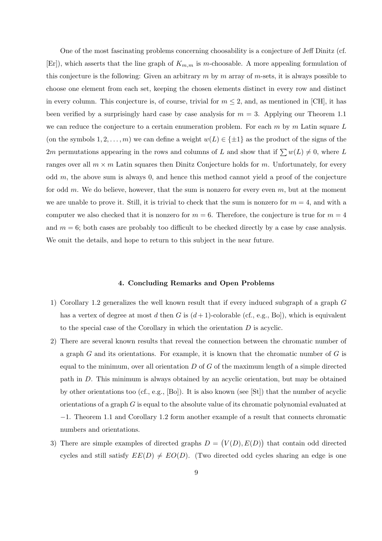One of the most fascinating problems concerning choosability is a conjecture of Jeff Dinitz (cf.  $[Er]$ , which asserts that the line graph of  $K_{m,m}$  is m-choosable. A more appealing formulation of this conjecture is the following: Given an arbitrary  $m$  by  $m$  array of  $m$ -sets, it is always possible to choose one element from each set, keeping the chosen elements distinct in every row and distinct in every column. This conjecture is, of course, trivial for  $m \leq 2$ , and, as mentioned in [CH], it has been verified by a surprisingly hard case by case analysis for  $m = 3$ . Applying our Theorem 1.1 we can reduce the conjecture to a certain enumeration problem. For each  $m$  by  $m$  Latin square  $L$ (on the symbols  $1, 2, \ldots, m$ ) we can define a weight  $w(L) \in \{\pm 1\}$  as the product of the signs of the 2m permutations appearing in the rows and columns of L and show that if  $\sum w(L) \neq 0$ , where L ranges over all  $m \times m$  Latin squares then Dinitz Conjecture holds for m. Unfortunately, for every odd  $m$ , the above sum is always 0, and hence this method cannot yield a proof of the conjecture for odd m. We do believe, however, that the sum is nonzero for every even m, but at the moment we are unable to prove it. Still, it is trivial to check that the sum is nonzero for  $m = 4$ , and with a computer we also checked that it is nonzero for  $m = 6$ . Therefore, the conjecture is true for  $m = 4$ and  $m = 6$ ; both cases are probably too difficult to be checked directly by a case by case analysis. We omit the details, and hope to return to this subject in the near future.

#### 4. Concluding Remarks and Open Problems

- 1) Corollary 1.2 generalizes the well known result that if every induced subgraph of a graph G has a vertex of degree at most d then G is  $(d+1)$ -colorable (cf., e.g., Bo), which is equivalent to the special case of the Corollary in which the orientation  $D$  is acyclic.
- 2) There are several known results that reveal the connection between the chromatic number of a graph  $G$  and its orientations. For example, it is known that the chromatic number of  $G$  is equal to the minimum, over all orientation  $D$  of  $G$  of the maximum length of a simple directed path in D. This minimum is always obtained by an acyclic orientation, but may be obtained by other orientations too (cf., e.g., [Bo]). It is also known (see [St]) that the number of acyclic orientations of a graph  $G$  is equal to the absolute value of its chromatic polynomial evaluated at −1. Theorem 1.1 and Corollary 1.2 form another example of a result that connects chromatic numbers and orientations.
- 3) There are simple examples of directed graphs  $D = (V(D), E(D))$  that contain odd directed cycles and still satisfy  $EE(D) \neq EO(D)$ . (Two directed odd cycles sharing an edge is one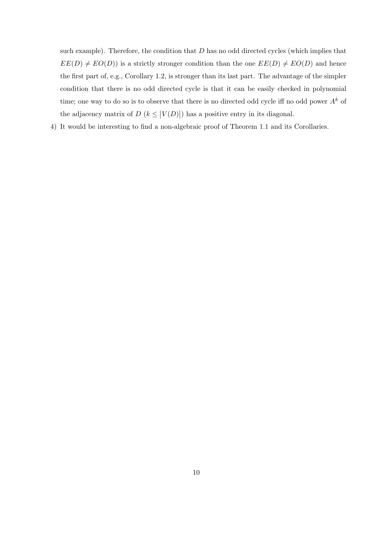such example). Therefore, the condition that  $D$  has no odd directed cycles (which implies that  $EE(D) \neq EO(D)$ ) is a strictly stronger condition than the one  $EE(D) \neq EO(D)$  and hence the first part of, e.g., Corollary 1.2, is stronger than its last part. The advantage of the simpler condition that there is no odd directed cycle is that it can be easily checked in polynomial time; one way to do so is to observe that there is no directed odd cycle iff no odd power  $A^k$  of the adjacency matrix of  $D$   $(k \leq |V(D)|)$  has a positive entry in its diagonal.

4) It would be interesting to find a non-algebraic proof of Theorem 1.1 and its Corollaries.